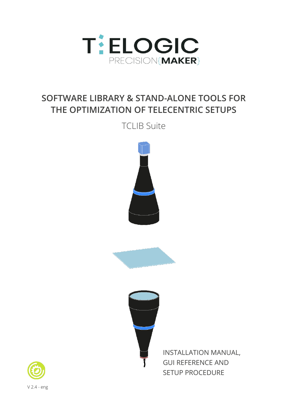

# **SOFTWARE LIBRARY & STAND-ALONE TOOLS FOR THE OPTIMIZATION OF TELECENTRIC SETUPS**

TCLIB Suite







INSTALLATION MANUAL, GUI REFERENCE AND SETUP PROCEDURE

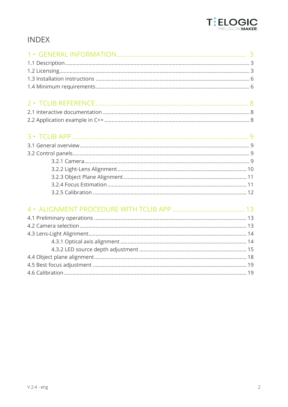

## **INDEX**

##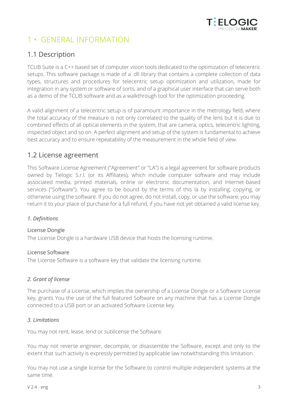

## 1 • GENERAL INFORMATION

## 1.1 Description

TCLIB Suite is a C++ based set of computer vision tools dedicated to the optimization of telecentric setups. This software package is made of a .dll library that contains a complete collection of data types, structures and procedures for telecentric setup optimization and utilization, made for integration in any system or software of sorts, and of a graphical user interface that can serve both as a demo of the TCLIB software and as a walkthrough tool for the optimization proceeding.

A valid alignment of a telecentric setup is of paramount importance in the metrology field, where the total accuracy of the measure is not only correlated to the quality of the lens but it is due to combined effects of all optical elements in the system, that are camera, optics, telecentric lighting, inspected object and so on. A perfect alignment and setup of the system is fundamental to achieve best accuracy and to ensure repeatability of the measurement in the whole field of view.

## 1.2 License agreement

This Software License Agreement ("Agreement" or "LA") is a legal agreement for software products owned by Tielogic S.r.l. (or its Affiliates), which include computer software and may include associated media, printed materials, online or electronic documentation, and Internet-based services ("Software"). You agree to be bound by the terms of this la by installing, copying, or otherwise using the software. If you do not agree, do not install, copy, or use the software; you may return it to your place of purchase for a full refund, if you have not yet obtained a valid license key.

#### *1. Definitions*

#### License Dongle

The License Dongle is a hardware USB device that hosts the licensing runtime.

#### License Software

The License Software is a software key that validate the licensing runtime.

#### *2. Grant of license*

The purchase of a License, which implies the ownership of a License Dongle or a Software License key, grants You the use of the full featured Software on any machine that has a License Dongle connected to a USB port or an activated Software License key.

#### *3. Limitations*

You may not rent, lease, lend or sublicense the Software.

You may not reverse engineer, decompile, or disassemble the Software, except and only to the extent that such activity is expressly permitted by applicable law notwithstanding this limitation.

You may not use a single license for the Software to control multiple independent systems at the same time.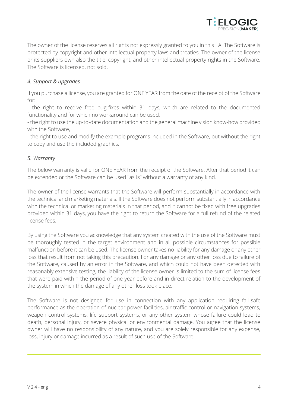

The owner of the license reserves all rights not expressly granted to you in this LA. The Software is protected by copyright and other intellectual property laws and treaties. The owner of the license or its suppliers own also the title, copyright, and other intellectual property rights in the Software. The Software is licensed, not sold.

#### *4. Support & upgrades*

If you purchase a license, you are granted for ONE YEAR from the date of the receipt of the Software for:

- the right to receive free bug-fixes within 31 days, which are related to the documented functionality and for which no workaround can be used,

- the right to use the up-to-date documentation and the general machine vision know-how provided with the Software,

- the right to use and modify the example programs included in the Software, but without the right to copy and use the included graphics.

#### *5. Warranty*

The below warranty is valid for ONE YEAR from the receipt of the Software. After that period it can be extended or the Software can be used "as is" without a warranty of any kind.

The owner of the license warrants that the Software will perform substantially in accordance with the technical and marketing materials. If the Software does not perform substantially in accordance with the technical or marketing materials in that period, and it cannot be fixed with free upgrades provided within 31 days, you have the right to return the Software for a full refund of the related license fees.

By using the Software you acknowledge that any system created with the use of the Software must be thoroughly tested in the target environment and in all possible circumstances for possible malfunction before it can be used. The license owner takes no liability for any damage or any other loss that result from not taking this precaution. For any damage or any other loss due to failure of the Software, caused by an error in the Software, and which could not have been detected with reasonably extensive testing, the liability of the license owner is limited to the sum of license fees that were paid within the period of one year before and in direct relation to the development of the system in which the damage of any other loss took place.

The Software is not designed for use in connection with any application requiring fail-safe performance as the operation of nuclear power facilities, air traffic control or navigation systems, weapon control systems, life support systems, or any other system whose failure could lead to death, personal injury, or severe physical or environmental damage. You agree that the license owner will have no responsibility of any nature, and you are solely responsible for any expense, loss, injury or damage incurred as a result of such use of the Software.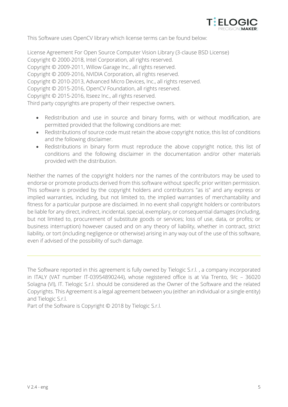

This Software uses OpenCV library which license terms can be found below:

License Agreement For Open Source Computer Vision Library (3-clause BSD License) Copyright © 2000-2018, Intel Corporation, all rights reserved. Copyright © 2009-2011, Willow Garage Inc., all rights reserved. Copyright © 2009-2016, NVIDIA Corporation, all rights reserved. Copyright © 2010-2013, Advanced Micro Devices, Inc., all rights reserved. Copyright © 2015-2016, OpenCV Foundation, all rights reserved. Copyright © 2015-2016, Itseez Inc., all rights reserved. Third party copyrights are property of their respective owners.

- Redistribution and use in source and binary forms, with or without modification, are permitted provided that the following conditions are met:
- Redistributions of source code must retain the above copyright notice, this list of conditions and the following disclaimer.
- Redistributions in binary form must reproduce the above copyright notice, this list of conditions and the following disclaimer in the documentation and/or other materials provided with the distribution.

Neither the names of the copyright holders nor the names of the contributors may be used to endorse or promote products derived from this software without specific prior written permission. This software is provided by the copyright holders and contributors "as is" and any express or implied warranties, including, but not limited to, the implied warranties of merchantability and fitness for a particular purpose are disclaimed. In no event shall copyright holders or contributors be liable for any direct, indirect, incidental, special, exemplary, or consequential damages (including, but not limited to, procurement of substitute goods or services; loss of use, data, or profits; or business interruption) however caused and on any theory of liability, whether in contract, strict liability, or tort (including negligence or otherwise) arising in any way out of the use of this software, even if advised of the possibility of such damage.

The Software reported in this agreement is fully owned by Tielogic S.r.l. , a company incorporated in ITALY (VAT number IT-03954890244), whose registered office is at Via Trento, 9/c – 36020 Solagna (VI), IT. Tielogic S.r.l. should be considered as the Owner of the Software and the related Copyrights. This Agreement is a legal agreement between you (either an individual or a single entity) and Tielogic S.r.l.

Part of the Software is Copyright © 2018 by Tielogic S.r.l.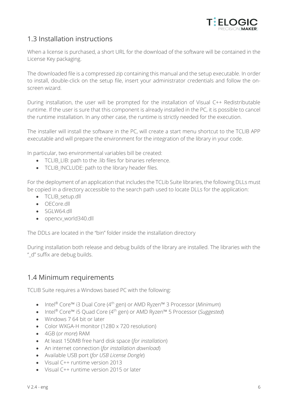

## 1.3 Installation instructions

When a license is purchased, a short URL for the download of the software will be contained in the License Key packaging.

The downloaded file is a compressed zip containing this manual and the setup executable. In order to install, double-click on the setup file, insert your administrator credentials and follow the onscreen wizard.

During installation, the user will be prompted for the installation of Visual C++ Redistributable runtime. If the user is sure that this component is already installed in the PC, it is possible to cancel the runtime installation. In any other case, the runtime is strictly needed for the execution.

The installer will install the software in the PC, will create a start menu shortcut to the TCLIB APP executable and will prepare the environment for the integration of the library in your code.

In particular, two environmental variables bill be created:

- TCLIB\_LIB: path to the .lib files for binaries reference.
- TCLIB INCLUDE: path to the library header files.

For the deployment of an application that includes the TCLib Suite libraries, the following DLLs must be copied in a directory accessible to the search path used to locate DLLs for the application:

- TCLIB setup.dll
- OECore.dll
- SGLW64.dll
- opencv\_world340.dll

The DDLs are located in the "bin" folder inside the installation directory

During installation both release and debug builds of the library are installed. The libraries with the "\_d" suffix are debug builds.

## 1.4 Minimum requirements

TCLIB Suite requires a Windows based PC with the following:

- Intel® Core™ i3 Dual Core (4 th gen) or AMD Ryzen™ 3 Processor (*Minimum*)
- Intel® Core™ i5 Quad Core (4 th gen) or AMD Ryzen™ 5 Processor (*Suggested*)
- Windows 7 64 bit or later
- Color WXGA-H monitor (1280 x 720 resolution)
- 4GB (*or more*) RAM
- At least 150MB free hard disk space (*for installation*)
- An internet connection (*for installation download*)
- Available USB port (*for USB License Dongle*)
- Visual C++ runtime version 2013
- Visual C++ runtime version 2015 or later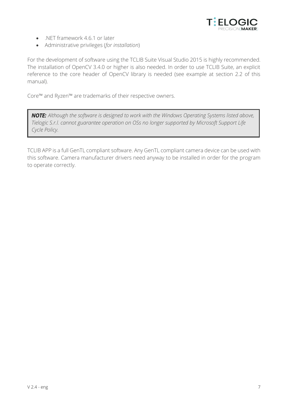

- .NET framework 4.6.1 or later
- Administrative privileges (*for installation*)

For the development of software using the TCLIB Suite Visual Studio 2015 is highly recommended. The installation of OpenCV 3.4.0 or higher is also needed. In order to use TCLIB Suite, an explicit reference to the core header of OpenCV library is needed (see example at section 2.2 of this manual).

Core™ and Ryzen™ are trademarks of their respective owners.

*Although the software is designed to work with the Windows Operating Systems listed above, Tielogic S.r.l. cannot guarantee operation on OSs no longer supported by Microsoft Support Life Cycle Policy.*

TCLIB APP is a full GenTL compliant software. Any GenTL compliant camera device can be used with this software. Camera manufacturer drivers need anyway to be installed in order for the program to operate correctly.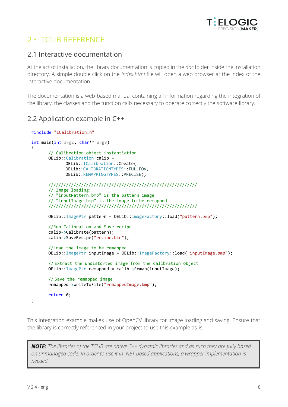

## 2 • TCLIB REFERENCE

### 2.1 Interactive documentation

At the act of installation, the library documentation is copied in the *doc* folder inside the installation directory. A simple double click on the *index.html* file will open a web browser at the index of the interactive documentation.

The documentation is a web-based manual containing all information regarding the integration of the library, the classes and the function calls necessary to operate correctly the software library.

### 2.2 Application example in C++

```
#include "ICalibration.h"
int main(int argc, char** argv)
{
      // Calibration object instantiation
      OELib::Calibration calib = 
             OELib::ICalibration::Create(
             OELib::CALIBRATIONTYPES::FULLFOV,
             OELib::REMAPPINGTYPES::PRECISE);
      ///////////////////////////////////////////////////////////
       // Image loading:
       // "inputPattern.bmp" is the pattern image
      // "inputImage.bmp" is the image to be remapped
       ///////////////////////////////////////////////////////////
      OELib::ImagePtr pattern = OELib::ImageFactory::load("pattern.bmp");
      //Run Calibration and Save recipe
      calib->Calibrate(pattern);
      calib->SaveRecipe("recipe.bin");
       //Load the image to be remapped
      OELib::ImagePtr inputImage = OELib::ImageFactory::load("inputImage.bmp");
       // Extract the undistorted image from the calibration object
      OELib::ImagePtr remapped = calib->Remap(inputImage);
       // Save the remapped image
      remapped->writeToFile("remappedImage.bmp");
      return 0;
}
```
This integration example makes use of OpenCV library for image loading and saving. Ensure that the library is correctly referenced in your project to use this example as-is.

*The libraries of the TCLIB are native C++ dynamic libraries and as such they are fully based on unmanaged code. In order to use it in .NET based applications, a wrapper implementation is needed.*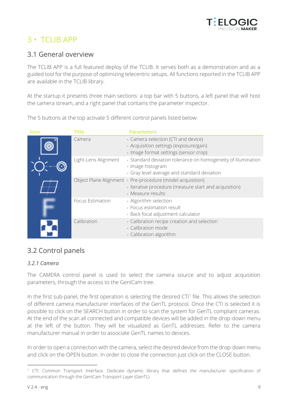

## 3 • TCLIB APP

## 3.1 General overview

The TCLIB APP is a full featured deploy of the TCLIB. It serves both as a demonstration and as a guided tool for the purpose of optimizing telecentric setups. All functions reported in the TCLIB APP are available in the TCLIB library.

At the startup it presents three main sections: a top bar with 5 buttons, a left panel that will host the camera stream, and a right panel that contains the parameter inspector.

The 5 buttons at the top activate 5 different control panels listed below:

| <b>Icon</b> | <b>Title</b>         | <b>Parameters</b>                                                                                                                        |
|-------------|----------------------|------------------------------------------------------------------------------------------------------------------------------------------|
|             | Camera               | - Camera selection (CTI and device)<br>- Acquisition settings (exposure/gain)<br>- Image format settings (sensor crop)                   |
|             | Light-Lens Alignment | - Standard deviation tolerance on homogeneity of illumination<br>- Image histogram<br>- Gray level average and standard deviation        |
|             |                      | Object Plane Alignment - Pre-procedure (model acquisition)<br>- Iterative procedure (measure start and acquisition)<br>- Measure results |
|             | Focus Estimation     | - Algorithm selection<br>- Focus estimation result<br>- Back focal adjustment calculator                                                 |
|             | Calibration          | - Calibration recipe creation and selection<br>- Calibration mode<br>- Calibration algorithm                                             |

## 3.2 Control panels

#### *3.2.1 Camera*

The CAMERA control panel is used to select the camera source and to adjust acquisition parameters, through the access to the GenICam tree.

In the first sub-panel, the first operation is selecting the desired  $CTI^1$  file. This allows the selection of different camera manufacturer interfaces of the GenTL protocol. Once the CTI is selected it is possible to click on the SEARCH button in order to scan the system for GenTL compliant cameras. At the end of the scan all connected and compatible devices will be added in the drop-down menu at the left of the button. They will be visualized as GenTL addresses. Refer to the camera manufacturer manual in order to associate GenTL names to devices

In order to open a connection with the camera, select the desired device from the drop-down menu and click on the OPEN button. In order to close the connection just click on the CLOSE button.

<sup>1</sup> CTI: Common Transport Interface. Dedicate dynamic library that defines the manufacturer specification of communication through the GenICam Transport Layer (GenTL)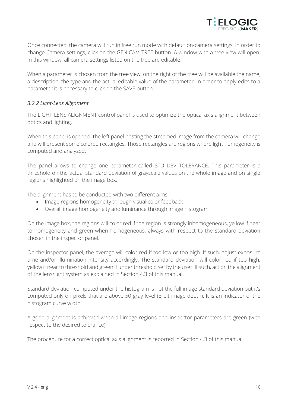

Once connected, the camera will run in free run mode with default on-camera settings. In order to change Camera settings, click on the GENICAM TREE button. A window with a tree view will open. In this window, all camera settings listed on the tree are editable.

When a parameter is chosen from the tree view, on the right of the tree will be available the name, a description, the type and the actual editable value of the parameter. In order to apply edits to a parameter it is necessary to click on the SAVE button.

#### *3.2.2 Light-Lens Alignment*

The LIGHT-LENS ALIGNMENT control panel is used to optimize the optical axis alignment between optics and lighting.

When this panel is opened, the left panel hosting the streamed image from the camera will change and will present some colored rectangles. Those rectangles are regions where light homogeneity is computed and analyzed.

The panel allows to change one parameter called STD DEV TOLERANCE. This parameter is a threshold on the actual standard deviation of grayscale values on the whole image and on single regions highlighted on the image box.

The alignment has to be conducted with two different aims:

- Image regions homogeneity through visual color feedback
- Overall image homogeneity and luminance through image histogram

On the image box, the regions will color red if the region is strongly inhomogeneous, yellow if near to homogeneity and green when homogeneous, always with respect to the standard deviation chosen in the inspector panel.

On the inspector panel, the average will color red if too low or too high. If such, adjust exposure time and/or illumination intensity accordingly. The standard deviation will color red if too high, yellow if near to threshold and green if under threshold set by the user. If such, act on the alignment of the lens/light system as explained in Section 4.3 of this manual.

Standard deviation computed under the histogram is not the full image standard deviation but it's computed only on pixels that are above 50 gray level (8-bit image depth). It is an indicator of the histogram curve width.

A good alignment is achieved when all image regions and inspector parameters are green (with respect to the desired tolerance).

The procedure for a correct optical axis alignment is reported in Section 4.3 of this manual.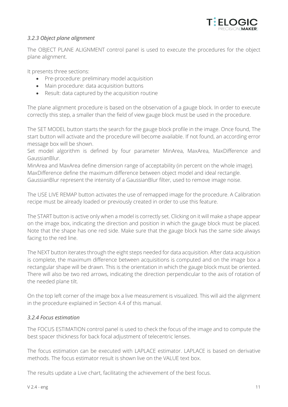

#### *3.2.3 Object plane alignment*

The OBJECT PLANE ALIGNMENT control panel is used to execute the procedures for the object plane alignment.

It presents three sections:

- Pre-procedure: preliminary model acquisition
- Main procedure: data acquisition buttons
- Result: data captured by the acquisition routine

The plane alignment procedure is based on the observation of a gauge block. In order to execute correctly this step, a smaller than the field of view gauge block must be used in the procedure.

The SET MODEL button starts the search for the gauge block profile in the image. Once found, The start button will activate and the procedure will become available. If not found, an according error message box will be shown.

Set model algorithm is defined by four parameter MinArea, MaxArea, MaxDifference and GaussianBlur.

MinArea and MaxArea define dimension range of acceptability (in percent on the whole image). MaxDifference define the maximum difference between object model and ideal rectangle. GaussianBlur represent the intensity of a GaussianBlur filter, used to remove image noise.

The USE LIVE REMAP button activates the use of remapped image for the procedure. A Calibration recipe must be already loaded or previously created in order to use this feature.

The START button is active only when a model is correctly set. Clicking on it will make a shape appear on the image box, indicating the direction and position in which the gauge block must be placed. Note that the shape has one red side. Make sure that the gauge block has the same side always facing to the red line.

The NEXT button iterates through the eight steps needed for data acquisition. After data acquisition is complete, the maximum difference between acquisitions is computed and on the image box a rectangular shape will be drawn. This is the orientation in which the gauge block must be oriented. There will also be two red arrows, indicating the direction perpendicular to the axis of rotation of the needed plane tilt.

On the top left corner of the image box a live measurement is visualized. This will aid the alignment in the procedure explained in Section 4.4 of this manual.

#### *3.2.4 Focus estimation*

The FOCUS ESTIMATION control panel is used to check the focus of the image and to compute the best spacer thickness for back focal adjustment of telecentric lenses.

The focus estimation can be executed with LAPLACE estimator. LAPLACE is based on derivative methods. The focus estimator result is shown live on the VALUE text box.

The results update a Live chart, facilitating the achievement of the best focus.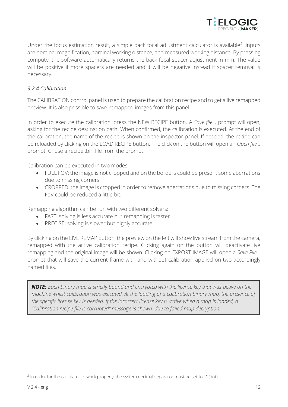

Under the focus estimation result, a simple back focal adjustment calculator is available<sup>2</sup>. Inputs are nominal magnification, nominal working distance, and measured working distance. By pressing compute, the software automatically returns the back focal spacer adjustment in mm. The value will be positive if more spacers are needed and it will be negative instead if spacer removal is necessary.

#### *3.2.4 Calibration*

The CALIBRATION control panel is used to prepare the calibration recipe and to get a live remapped preview. It is also possible to save remapped images from this panel.

In order to execute the calibration, press the NEW RECIPE button. A *Save file…* prompt will open, asking for the recipe destination path. When confirmed, the calibration is executed. At the end of the calibration, the name of the recipe is shown on the inspector panel. If needed, the recipe can be reloaded by clicking on the LOAD RECIPE button. The click on the button will open an *Open file…* prompt. Chose a recipe .bin file from the prompt.

Calibration can be executed in two modes:

- FULL FOV: the image is not cropped and on the borders could be present some aberrations due to missing corners.
- CROPPED: the image is cropped in order to remove aberrations due to missing corners. The FoV could be reduced a little bit.

Remapping algorithm can be run with two different solvers:

- FAST: solving is less accurate but remapping is faster.
- PRECISE: solving is slower but highly accurate.

By clicking on the LIVE REMAP button, the preview on the left will show live stream from the camera, remapped with the active calibration recipe. Clicking again on the button will deactivate live remapping and the original image will be shown. Clicking on EXPORT IMAGE will open a *Save File…* prompt that will save the current frame with and without calibration applied on two accordingly named files.

**NOTE:** Each binary map is strictly bound and encrypted with the license key that was active on the *machine whilst calibration was executed. At the loading of a calibration binary map, the presence of the specific license key is needed. If the incorrect license key is active when a map is loaded, a "Calibration recipe file is corrupted" message is shown, due to failed map decryption.* 

<sup>&</sup>lt;sup>2</sup> In order for the calculator to work properly, the system decimal separator must be set to "." (dot).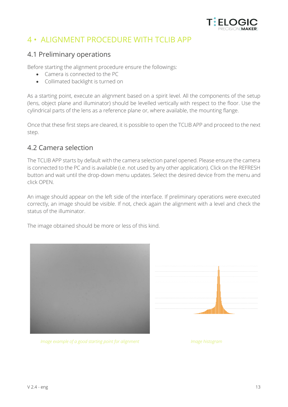

## 4 • ALIGNMENT PROCEDURE WITH TCLIB APP

### 4.1 Preliminary operations

Before starting the alignment procedure ensure the followings:

- Camera is connected to the PC
- Collimated backlight is turned on

As a starting point, execute an alignment based on a spirit level. All the components of the setup (lens, object plane and illuminator) should be levelled vertically with respect to the floor. Use the cylindrical parts of the lens as a reference plane or, where available, the mounting flange.

Once that these first steps are cleared, it is possible to open the TCLIB APP and proceed to the next step.

### 4.2 Camera selection

The TCLIB APP starts by default with the camera selection panel opened. Please ensure the camera is connected to the PC and is available (i.e. not used by any other application). Click on the REFRESH button and wait until the drop-down menu updates. Select the desired device from the menu and click OPEN.

An image should appear on the left side of the interface. If preliminary operations were executed correctly, an image should be visible. If not, check again the alignment with a level and check the status of the illuminator.

The image obtained should be more or less of this kind.





*Image example of a good starting point for alignment Image histogram*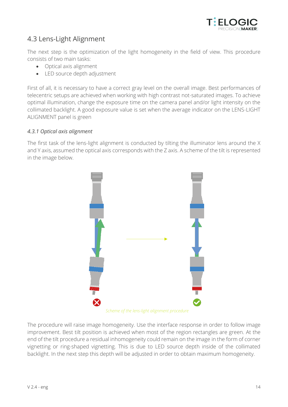

## 4.3 Lens-Light Alignment

The next step is the optimization of the light homogeneity in the field of view. This procedure consists of two main tasks:

- Optical axis alignment
- LED source depth adjustment

First of all, it is necessary to have a correct gray level on the overall image. Best performances of telecentric setups are achieved when working with high contrast not-saturated images. To achieve optimal illumination, change the exposure time on the camera panel and/or light intensity on the collimated backlight. A good exposure value is set when the average indicator on the LENS-LIGHT ALIGNMENT panel is green

#### *4.3.1 Optical axis alignment*

The first task of the lens-light alignment is conducted by tilting the illuminator lens around the X and Y axis, assumed the optical axis corresponds with the Z axis. A scheme of the tilt is represented in the image below.



*Scheme of the lens-light alignment procedure*

The procedure will raise image homogeneity. Use the interface response in order to follow image improvement. Best tilt position is achieved when most of the region rectangles are green. At the end of the tilt procedure a residual inhomogeneity could remain on the image in the form of corner vignetting or ring-shaped vignetting. This is due to LED source depth inside of the collimated backlight. In the next step this depth will be adjusted in order to obtain maximum homogeneity.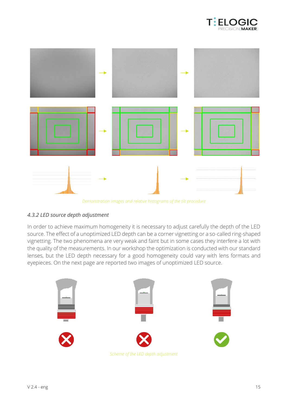



*Demonstration images and relative histograms of the tilt procedure*

#### *4.3.2 LED source depth adjustment*

In order to achieve maximum homogeneity it is necessary to adjust carefully the depth of the LED source. The effect of a unoptimized LED depth can be a corner vignetting or a so-called ring-shaped vignetting. The two phenomena are very weak and faint but in some cases they interfere a lot with the quality of the measurements. In our workshop the optimization is conducted with our standard lenses, but the LED depth necessary for a good homogeneity could vary with lens formats and eyepieces. On the next page are reported two images of unoptimized LED source.

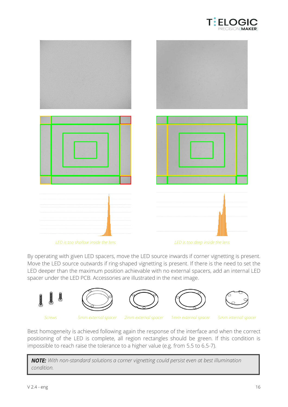



*LED is too shallow inside the lens LED is too deep inside the lens*

By operating with given LED spacers, move the LED source inwards if corner vignetting is present. Move the LED source outwards if ring-shaped vignetting is present. If there is the need to set the LED deeper than the maximum position achievable with no external spacers, add an internal LED spacer under the LED PCB. Accessories are illustrated in the next image.











*Screws 5mm external spacer 2mm external spacer 1mm external spacer 5mm internal spacer*

Best homogeneity is achieved following again the response of the interface and when the correct positioning of the LED is complete, all region rectangles should be green. If this condition is impossible to reach raise the tolerance to a higher value (e.g. from 5.5 to 6.5-7).

*With non-standard solutions a corner vignetting could persist even at best illumination condition.*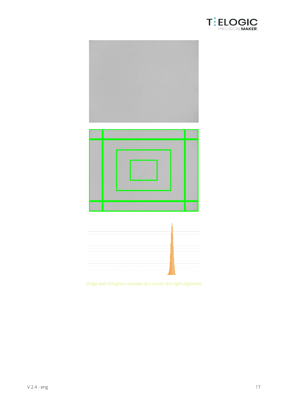







*Image and histogram example of a correct lens-light alignment*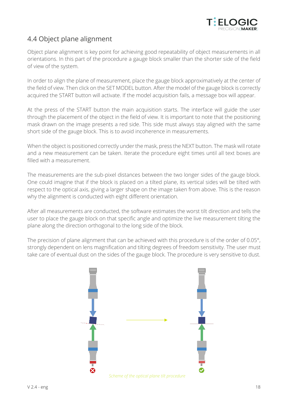

## 4.4 Object plane alignment

Object plane alignment is key point for achieving good repeatability of object measurements in all orientations. In this part of the procedure a gauge block smaller than the shorter side of the field of view of the system.

In order to align the plane of measurement, place the gauge block approximatively at the center of the field of view. Then click on the SET MODEL button. After the model of the gauge block is correctly acquired the START button will activate. If the model acquisition fails, a message box will appear.

At the press of the START button the main acquisition starts. The interface will guide the user through the placement of the object in the field of view. It is important to note that the positioning mask drawn on the image presents a red side. This side must always stay aligned with the same short side of the gauge block. This is to avoid incoherence in measurements.

When the object is positioned correctly under the mask, press the NEXT button. The mask will rotate and a new measurement can be taken. Iterate the procedure eight times until all text boxes are filled with a measurement.

The measurements are the sub-pixel distances between the two longer sides of the gauge block. One could imagine that if the block is placed on a tilted plane, its vertical sides will be tilted with respect to the optical axis, giving a larger shape on the image taken from above. This is the reason why the alignment is conducted with eight different orientation.

After all measurements are conducted, the software estimates the worst tilt direction and tells the user to place the gauge block on that specific angle and optimize the live measurement tilting the plane along the direction orthogonal to the long side of the block.

The precision of plane alignment that can be achieved with this procedure is of the order of 0.05°, strongly dependent on lens magnification and tilting degrees of freedom sensitivity. The user must take care of eventual dust on the sides of the gauge block. The procedure is very sensitive to dust.



*Scheme of the optical plane tilt procedure*